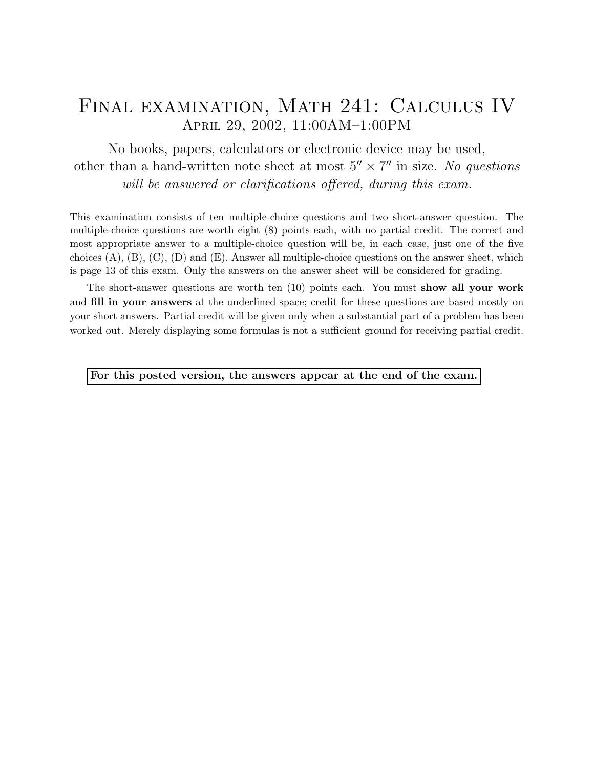## Final examination, Math 241: Calculus IV April 29, 2002, 11:00AM–1:00PM

No books, papers, calculators or electronic device may be used, other than a hand-written note sheet at most  $5'' \times 7''$  in size. No questions will be answered or clarifications offered, during this exam.

This examination consists of ten multiple-choice questions and two short-answer question. The multiple-choice questions are worth eight (8) points each, with no partial credit. The correct and most appropriate answer to a multiple-choice question will be, in each case, just one of the five choices  $(A)$ ,  $(B)$ ,  $(C)$ ,  $(D)$  and  $(E)$ . Answer all multiple-choice questions on the answer sheet, which is page 13 of this exam. Only the answers on the answer sheet will be considered for grading.

The short-answer questions are worth ten (10) points each. You must show all your work and fill in your answers at the underlined space; credit for these questions are based mostly on your short answers. Partial credit will be given only when a substantial part of a problem has been worked out. Merely displaying some formulas is not a sufficient ground for receiving partial credit.

For this posted version, the answers appear at the end of the exam.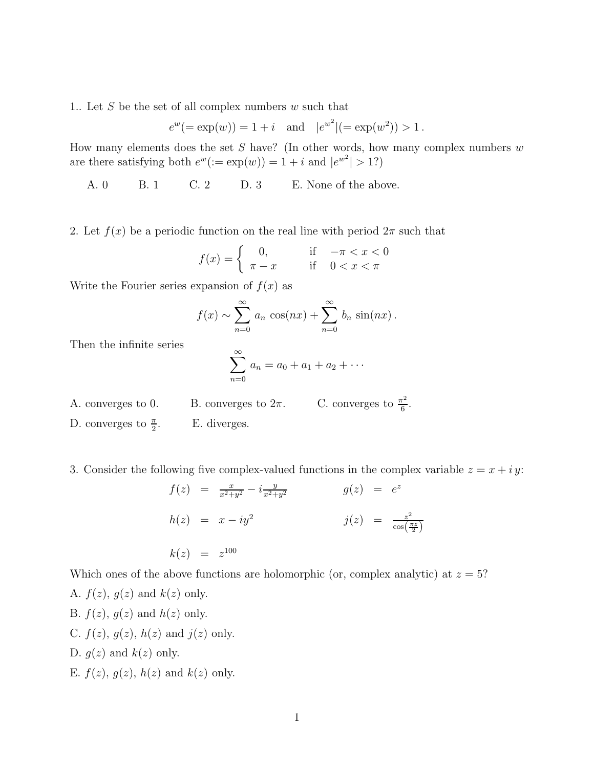1.. Let S be the set of all complex numbers w such that

$$
e^w
$$
(= exp(w)) = 1 + i and  $|e^{w^2}|$ (= exp(w<sup>2</sup>)) > 1.

How many elements does the set  $S$  have? (In other words, how many complex numbers  $w$ are there satisfying both  $e^w(:=\exp(w))=1+i$  and  $|e^{w^2}|>1$ ?)

A. 0 B. 1 C. 2 D. 3 E. None of the above.

2. Let  $f(x)$  be a periodic function on the real line with period  $2\pi$  such that

$$
f(x) = \begin{cases} 0, & \text{if } -\pi < x < 0 \\ \pi - x & \text{if } 0 < x < \pi \end{cases}
$$

Write the Fourier series expansion of  $f(x)$  as

$$
f(x) \sim \sum_{n=0}^{\infty} a_n \cos(nx) + \sum_{n=0}^{\infty} b_n \sin(nx).
$$

Then the infinite series

$$
\sum_{n=0}^{\infty} a_n = a_0 + a_1 + a_2 + \cdots
$$

- A. converges to 0. B. converges to  $2\pi$ . C. converges to  $\frac{\pi^2}{6}$  $\frac{1}{6}$ .
- D. converges to  $\frac{\pi}{2}$ . E. diverges.

3. Consider the following five complex-valued functions in the complex variable  $z = x + iy$ :

$$
f(z) = \frac{x}{x^2 + y^2} - i \frac{y}{x^2 + y^2}
$$
  
\n
$$
g(z) = e^z
$$
  
\n
$$
h(z) = x - iy^2
$$
  
\n
$$
g(z) = e^z
$$
  
\n
$$
j(z) = \frac{z^2}{\cos(\frac{\pi z}{2})}
$$
  
\n
$$
k(z) = z^{100}
$$

Which ones of the above functions are holomorphic (or, complex analytic) at  $z = 5$ ?

- A.  $f(z)$ ,  $g(z)$  and  $k(z)$  only. B.  $f(z)$ ,  $g(z)$  and  $h(z)$  only. C.  $f(z)$ ,  $g(z)$ ,  $h(z)$  and  $j(z)$  only. D.  $g(z)$  and  $k(z)$  only.
- 
- E.  $f(z)$ ,  $g(z)$ ,  $h(z)$  and  $k(z)$  only.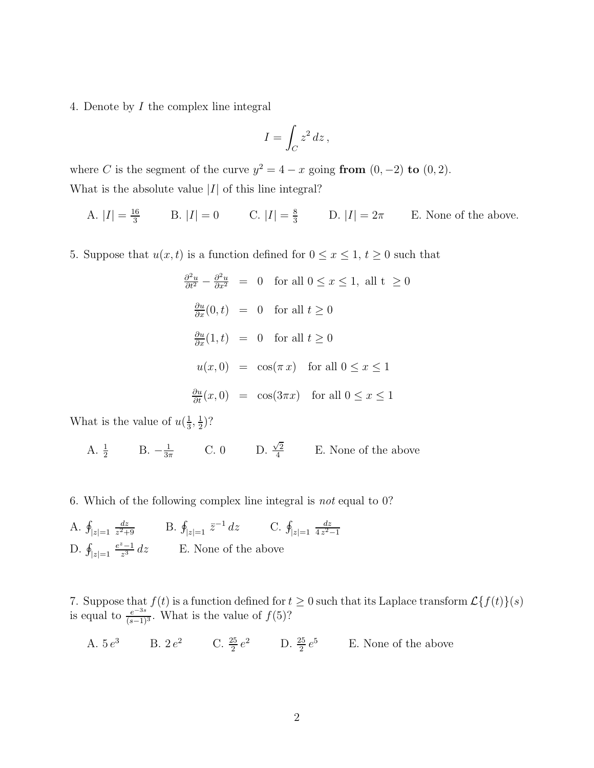4. Denote by I the complex line integral

$$
I = \int_C z^2 \, dz \,,
$$

where C is the segment of the curve  $y^2 = 4 - x$  going from  $(0, -2)$  to  $(0, 2)$ . What is the absolute value  $|I|$  of this line integral?

A. 
$$
|I| = \frac{16}{3}
$$
 B.  $|I| = 0$  C.  $|I| = \frac{8}{3}$  D.  $|I| = 2\pi$  E. None of the above.

5. Suppose that  $u(x, t)$  is a function defined for  $0 \le x \le 1$ ,  $t \ge 0$  such that

$$
\frac{\partial^2 u}{\partial t^2} - \frac{\partial^2 u}{\partial x^2} = 0 \quad \text{for all } 0 \le x \le 1, \text{ all } t \ge 0
$$
  

$$
\frac{\partial u}{\partial x}(0, t) = 0 \quad \text{for all } t \ge 0
$$
  

$$
\frac{\partial u}{\partial x}(1, t) = 0 \quad \text{for all } t \ge 0
$$
  

$$
u(x, 0) = \cos(\pi x) \quad \text{for all } 0 \le x \le 1
$$
  

$$
\frac{\partial u}{\partial t}(x, 0) = \cos(3\pi x) \quad \text{for all } 0 \le x \le 1
$$

What is the value of  $u(\frac{1}{3})$  $\frac{1}{3}, \frac{1}{2}$  $(\frac{1}{2})$ ?

> A.  $\frac{1}{2}$  B.  $-\frac{1}{3\pi}$  C. 0 D.  $\frac{\sqrt{2}}{4}$  $\frac{2}{4}$  E. None of the above

6. Which of the following complex line integral is not equal to 0?

A.  $\oint_{|z|=1}$ dz  $\frac{dz}{z^2+9}$  B.  $\oint_{|z|=1} \bar{z}^{-1} dz$  C.  $\oint_{|z|=1}$ dz  $4z^2-1$ D.  $\oint_{|z|=1}$  $\frac{e^z-1}{z^3}$  dz E. None of the above

7. Suppose that  $f(t)$  is a function defined for  $t \geq 0$  such that its Laplace transform  $\mathcal{L}{f(t)}(s)$ is equal to  $\frac{e^{-3s}}{(s-1)^3}$ . What is the value of  $f(5)$ ?

A. 
$$
5e^3
$$
 B.  $2e^2$  C.  $\frac{25}{2}e^2$  D.  $\frac{25}{2}e^5$  E. None of the above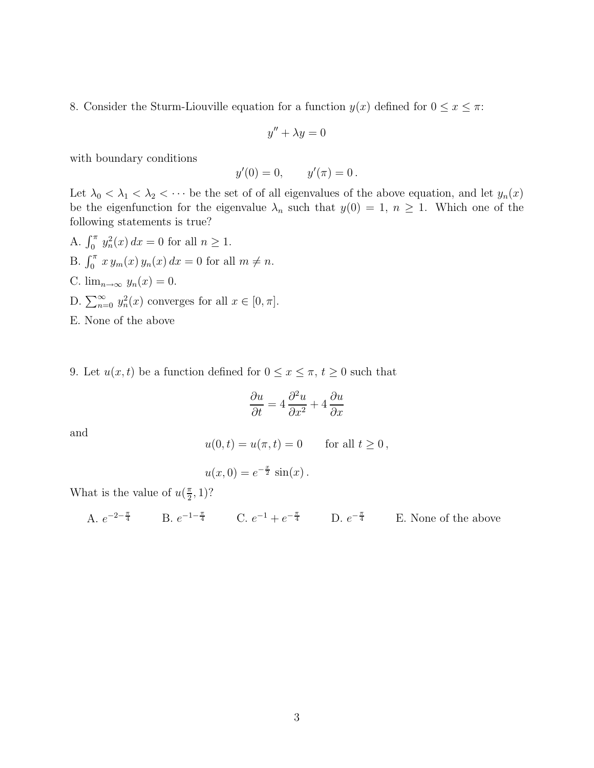8. Consider the Sturm-Liouville equation for a function  $y(x)$  defined for  $0 \le x \le \pi$ :

$$
y'' + \lambda y = 0
$$

with boundary conditions

$$
y'(0) = 0,
$$
  $y'(\pi) = 0.$ 

Let  $\lambda_0 < \lambda_1 < \lambda_2 < \cdots$  be the set of of all eigenvalues of the above equation, and let  $y_n(x)$ be the eigenfunction for the eigenvalue  $\lambda_n$  such that  $y(0) = 1, n \ge 1$ . Which one of the following statements is true?

- A.  $\int_0^{\pi} y_n^2(x) dx = 0$  for all  $n \ge 1$ . B.  $\int_0^{\pi} x y_m(x) y_n(x) dx = 0$  for all  $m \neq n$ . C.  $\lim_{n\to\infty} y_n(x) = 0$ . D.  $\sum_{n=0}^{\infty} y_n^2(x)$  converges for all  $x \in [0, \pi]$ . E. None of the above
- 9. Let  $u(x, t)$  be a function defined for  $0 \le x \le \pi$ ,  $t \ge 0$  such that

$$
\frac{\partial u}{\partial t} = 4 \frac{\partial^2 u}{\partial x^2} + 4 \frac{\partial u}{\partial x}
$$

and

$$
u(0,t) = u(\pi, t) = 0 \quad \text{for all } t \ge 0,
$$

$$
u(x, 0) = e^{-\frac{x}{2}} \sin(x).
$$

What is the value of  $u(\frac{\pi}{2})$  $(\frac{\pi}{2}, 1)?$ 

A. 
$$
e^{-2-\frac{\pi}{4}}
$$
 B.  $e^{-1-\frac{\pi}{4}}$  C.  $e^{-1} + e^{-\frac{\pi}{4}}$  D.  $e^{-\frac{\pi}{4}}$  E. None of the above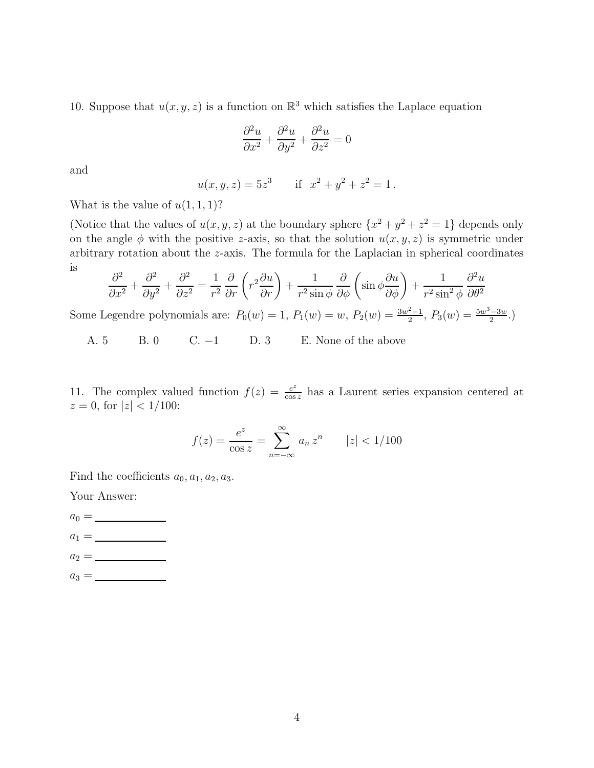10. Suppose that  $u(x, y, z)$  is a function on  $\mathbb{R}^3$  which satisfies the Laplace equation

$$
\frac{\partial^2 u}{\partial x^2} + \frac{\partial^2 u}{\partial y^2} + \frac{\partial^2 u}{\partial z^2} = 0
$$

and

$$
u(x, y, z) = 5z3
$$
 if  $x2 + y2 + z2 = 1$ .

What is the value of  $u(1,1,1)$ ?

(Notice that the values of  $u(x, y, z)$  at the boundary sphere  $\{x^2 + y^2 + z^2 = 1\}$  depends only on the angle  $\phi$  with the positive z-axis, so that the solution  $u(x, y, z)$  is symmetric under arbitrary rotation about the z-axis. The formula for the Laplacian in spherical coordinates is

$$
\frac{\partial^2}{\partial x^2} + \frac{\partial^2}{\partial y^2} + \frac{\partial^2}{\partial z^2} = \frac{1}{r^2} \frac{\partial}{\partial r} \left( r^2 \frac{\partial u}{\partial r} \right) + \frac{1}{r^2 \sin \phi} \frac{\partial}{\partial \phi} \left( \sin \phi \frac{\partial u}{\partial \phi} \right) + \frac{1}{r^2 \sin^2 \phi} \frac{\partial^2 u}{\partial \theta^2}
$$

Some Legendre polynomials are:  $P_0(w) = 1$ ,  $P_1(w) = w$ ,  $P_2(w) = \frac{3w^2 - 1}{2}$ ,  $P_3(w) = \frac{5w^3 - 3w}{2}$ .

A. 5 B. 0 C. −1 D. 3 E. None of the above

11. The complex valued function  $f(z) = \frac{e^z}{\cos z}$  $\frac{e^z}{\cos z}$  has a Laurent series expansion centered at  $z = 0$ , for  $|z| < 1/100$ :

$$
f(z) = \frac{e^z}{\cos z} = \sum_{n = -\infty}^{\infty} a_n z^n \qquad |z| < 1/100
$$

Find the coefficients  $a_0, a_1, a_2, a_3$ .

Your Answer:

 $a_0 = \underline{\hspace{2cm}}$  $a_1 = \_$  $a_2 = \_$  $a_3 = \_$